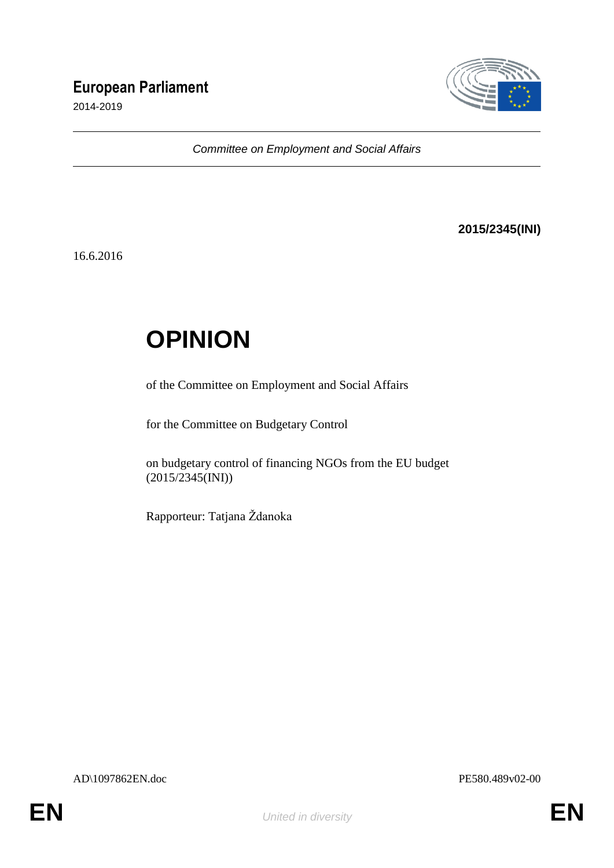## **European Parliament**

2014-2019



*Committee on Employment and Social Affairs*

**2015/2345(INI)**

16.6.2016

## **OPINION**

of the Committee on Employment and Social Affairs

for the Committee on Budgetary Control

on budgetary control of financing NGOs from the EU budget (2015/2345(INI))

Rapporteur: Tatjana Ždanoka

AD\1097862EN.doc PE580.489v02-00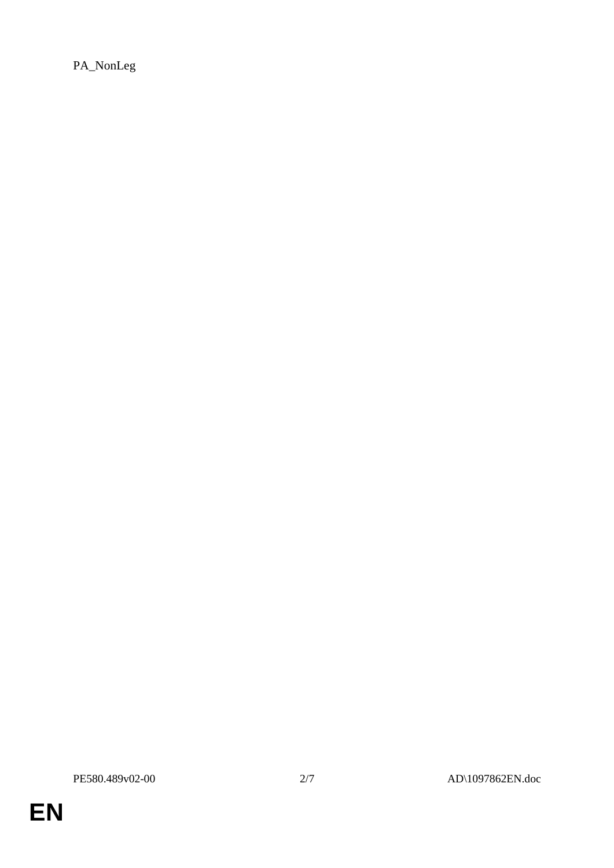PA\_NonLeg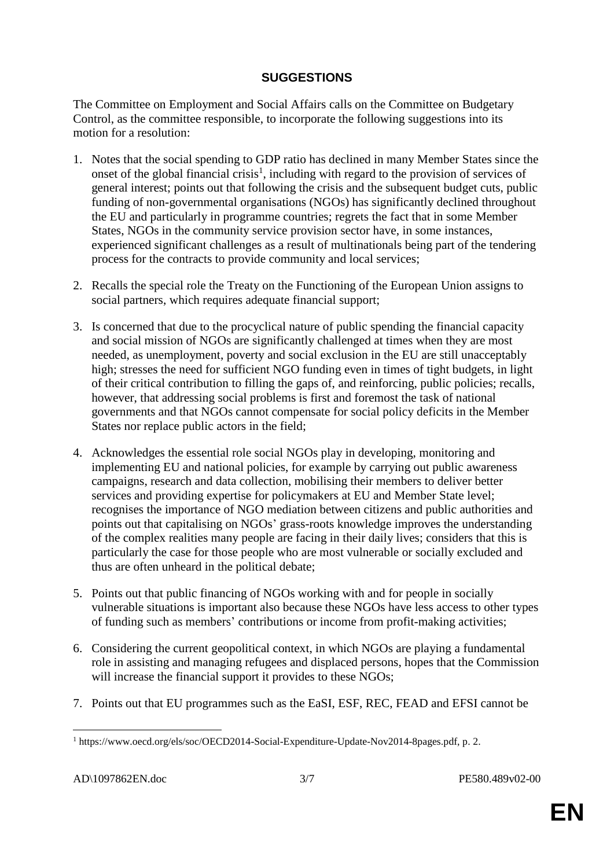## **SUGGESTIONS**

The Committee on Employment and Social Affairs calls on the Committee on Budgetary Control, as the committee responsible, to incorporate the following suggestions into its motion for a resolution:

- 1. Notes that the social spending to GDP ratio has declined in many Member States since the onset of the global financial crisis<sup>1</sup>, including with regard to the provision of services of general interest; points out that following the crisis and the subsequent budget cuts, public funding of non-governmental organisations (NGOs) has significantly declined throughout the EU and particularly in programme countries; regrets the fact that in some Member States, NGOs in the community service provision sector have, in some instances, experienced significant challenges as a result of multinationals being part of the tendering process for the contracts to provide community and local services;
- 2. Recalls the special role the Treaty on the Functioning of the European Union assigns to social partners, which requires adequate financial support;
- 3. Is concerned that due to the procyclical nature of public spending the financial capacity and social mission of NGOs are significantly challenged at times when they are most needed, as unemployment, poverty and social exclusion in the EU are still unacceptably high; stresses the need for sufficient NGO funding even in times of tight budgets, in light of their critical contribution to filling the gaps of, and reinforcing, public policies; recalls, however, that addressing social problems is first and foremost the task of national governments and that NGOs cannot compensate for social policy deficits in the Member States nor replace public actors in the field;
- 4. Acknowledges the essential role social NGOs play in developing, monitoring and implementing EU and national policies, for example by carrying out public awareness campaigns, research and data collection, mobilising their members to deliver better services and providing expertise for policymakers at EU and Member State level; recognises the importance of NGO mediation between citizens and public authorities and points out that capitalising on NGOs' grass-roots knowledge improves the understanding of the complex realities many people are facing in their daily lives; considers that this is particularly the case for those people who are most vulnerable or socially excluded and thus are often unheard in the political debate;
- 5. Points out that public financing of NGOs working with and for people in socially vulnerable situations is important also because these NGOs have less access to other types of funding such as members' contributions or income from profit-making activities;
- 6. Considering the current geopolitical context, in which NGOs are playing a fundamental role in assisting and managing refugees and displaced persons, hopes that the Commission will increase the financial support it provides to these NGOs;
- 7. Points out that EU programmes such as the EaSI, ESF, REC, FEAD and EFSI cannot be

 $\overline{a}$ <sup>1</sup> https://www.oecd.org/els/soc/OECD2014-Social-Expenditure-Update-Nov2014-8pages.pdf, p. 2.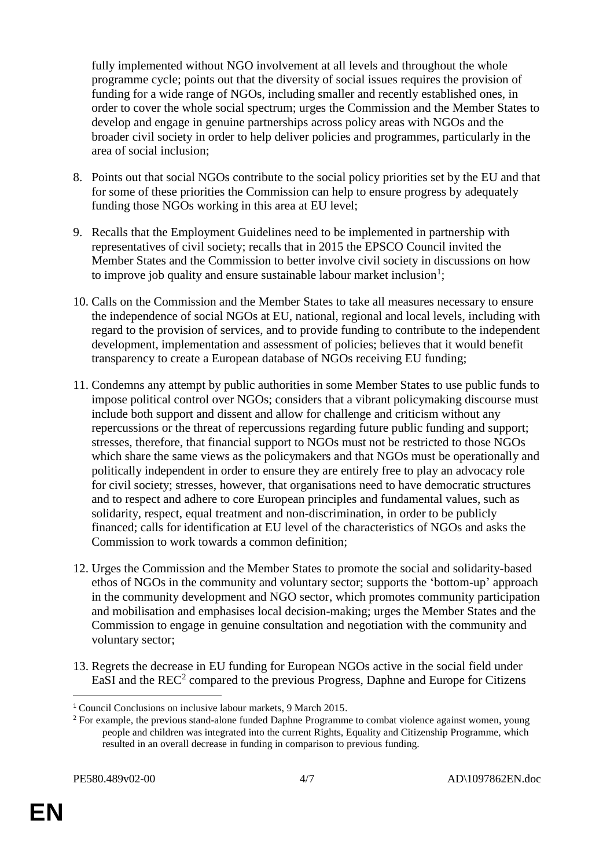fully implemented without NGO involvement at all levels and throughout the whole programme cycle; points out that the diversity of social issues requires the provision of funding for a wide range of NGOs, including smaller and recently established ones, in order to cover the whole social spectrum; urges the Commission and the Member States to develop and engage in genuine partnerships across policy areas with NGOs and the broader civil society in order to help deliver policies and programmes, particularly in the area of social inclusion;

- 8. Points out that social NGOs contribute to the social policy priorities set by the EU and that for some of these priorities the Commission can help to ensure progress by adequately funding those NGOs working in this area at EU level;
- 9. Recalls that the Employment Guidelines need to be implemented in partnership with representatives of civil society; recalls that in 2015 the EPSCO Council invited the Member States and the Commission to better involve civil society in discussions on how to improve job quality and ensure sustainable labour market inclusion<sup>1</sup>;
- 10. Calls on the Commission and the Member States to take all measures necessary to ensure the independence of social NGOs at EU, national, regional and local levels, including with regard to the provision of services, and to provide funding to contribute to the independent development, implementation and assessment of policies; believes that it would benefit transparency to create a European database of NGOs receiving EU funding;
- 11. Condemns any attempt by public authorities in some Member States to use public funds to impose political control over NGOs; considers that a vibrant policymaking discourse must include both support and dissent and allow for challenge and criticism without any repercussions or the threat of repercussions regarding future public funding and support; stresses, therefore, that financial support to NGOs must not be restricted to those NGOs which share the same views as the policymakers and that NGOs must be operationally and politically independent in order to ensure they are entirely free to play an advocacy role for civil society; stresses, however, that organisations need to have democratic structures and to respect and adhere to core European principles and fundamental values, such as solidarity, respect, equal treatment and non-discrimination, in order to be publicly financed; calls for identification at EU level of the characteristics of NGOs and asks the Commission to work towards a common definition;
- 12. Urges the Commission and the Member States to promote the social and solidarity-based ethos of NGOs in the community and voluntary sector; supports the 'bottom-up' approach in the community development and NGO sector, which promotes community participation and mobilisation and emphasises local decision-making; urges the Member States and the Commission to engage in genuine consultation and negotiation with the community and voluntary sector;
- 13. Regrets the decrease in EU funding for European NGOs active in the social field under EaSI and the REC<sup>2</sup> compared to the previous Progress, Daphne and Europe for Citizens

 $\overline{a}$ 

<sup>1</sup> Council Conclusions on inclusive labour markets, 9 March 2015.

<sup>&</sup>lt;sup>2</sup> For example, the previous stand-alone funded Daphne Programme to combat violence against women, young people and children was integrated into the current Rights, Equality and Citizenship Programme, which resulted in an overall decrease in funding in comparison to previous funding.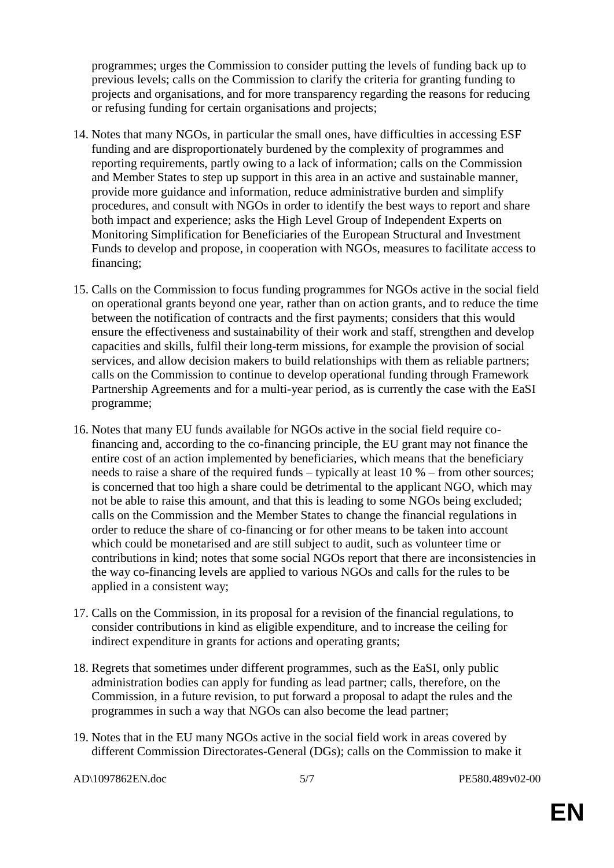programmes; urges the Commission to consider putting the levels of funding back up to previous levels; calls on the Commission to clarify the criteria for granting funding to projects and organisations, and for more transparency regarding the reasons for reducing or refusing funding for certain organisations and projects;

- 14. Notes that many NGOs, in particular the small ones, have difficulties in accessing ESF funding and are disproportionately burdened by the complexity of programmes and reporting requirements, partly owing to a lack of information; calls on the Commission and Member States to step up support in this area in an active and sustainable manner, provide more guidance and information, reduce administrative burden and simplify procedures, and consult with NGOs in order to identify the best ways to report and share both impact and experience; asks the High Level Group of Independent Experts on Monitoring Simplification for Beneficiaries of the European Structural and Investment Funds to develop and propose, in cooperation with NGOs, measures to facilitate access to financing;
- 15. Calls on the Commission to focus funding programmes for NGOs active in the social field on operational grants beyond one year, rather than on action grants, and to reduce the time between the notification of contracts and the first payments; considers that this would ensure the effectiveness and sustainability of their work and staff, strengthen and develop capacities and skills, fulfil their long-term missions, for example the provision of social services, and allow decision makers to build relationships with them as reliable partners; calls on the Commission to continue to develop operational funding through Framework Partnership Agreements and for a multi-year period, as is currently the case with the EaSI programme;
- 16. Notes that many EU funds available for NGOs active in the social field require cofinancing and, according to the co-financing principle, the EU grant may not finance the entire cost of an action implemented by beneficiaries, which means that the beneficiary needs to raise a share of the required funds – typically at least 10 % – from other sources; is concerned that too high a share could be detrimental to the applicant NGO, which may not be able to raise this amount, and that this is leading to some NGOs being excluded; calls on the Commission and the Member States to change the financial regulations in order to reduce the share of co-financing or for other means to be taken into account which could be monetarised and are still subject to audit, such as volunteer time or contributions in kind; notes that some social NGOs report that there are inconsistencies in the way co-financing levels are applied to various NGOs and calls for the rules to be applied in a consistent way;
- 17. Calls on the Commission, in its proposal for a revision of the financial regulations, to consider contributions in kind as eligible expenditure, and to increase the ceiling for indirect expenditure in grants for actions and operating grants;
- 18. Regrets that sometimes under different programmes, such as the EaSI, only public administration bodies can apply for funding as lead partner; calls, therefore, on the Commission, in a future revision, to put forward a proposal to adapt the rules and the programmes in such a way that NGOs can also become the lead partner;
- 19. Notes that in the EU many NGOs active in the social field work in areas covered by different Commission Directorates-General (DGs); calls on the Commission to make it

AD\1097862EN.doc 5/7 PE580.489v02-00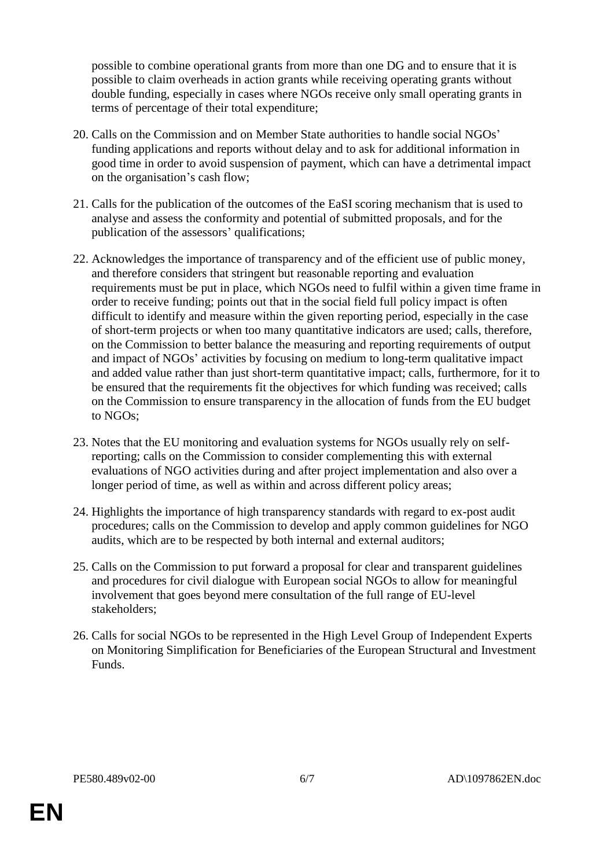possible to combine operational grants from more than one DG and to ensure that it is possible to claim overheads in action grants while receiving operating grants without double funding, especially in cases where NGOs receive only small operating grants in terms of percentage of their total expenditure;

- 20. Calls on the Commission and on Member State authorities to handle social NGOs' funding applications and reports without delay and to ask for additional information in good time in order to avoid suspension of payment, which can have a detrimental impact on the organisation's cash flow;
- 21. Calls for the publication of the outcomes of the EaSI scoring mechanism that is used to analyse and assess the conformity and potential of submitted proposals, and for the publication of the assessors' qualifications;
- 22. Acknowledges the importance of transparency and of the efficient use of public money, and therefore considers that stringent but reasonable reporting and evaluation requirements must be put in place, which NGOs need to fulfil within a given time frame in order to receive funding; points out that in the social field full policy impact is often difficult to identify and measure within the given reporting period, especially in the case of short-term projects or when too many quantitative indicators are used; calls, therefore, on the Commission to better balance the measuring and reporting requirements of output and impact of NGOs' activities by focusing on medium to long-term qualitative impact and added value rather than just short-term quantitative impact; calls, furthermore, for it to be ensured that the requirements fit the objectives for which funding was received; calls on the Commission to ensure transparency in the allocation of funds from the EU budget to NGOs;
- 23. Notes that the EU monitoring and evaluation systems for NGOs usually rely on selfreporting; calls on the Commission to consider complementing this with external evaluations of NGO activities during and after project implementation and also over a longer period of time, as well as within and across different policy areas;
- 24. Highlights the importance of high transparency standards with regard to ex-post audit procedures; calls on the Commission to develop and apply common guidelines for NGO audits, which are to be respected by both internal and external auditors;
- 25. Calls on the Commission to put forward a proposal for clear and transparent guidelines and procedures for civil dialogue with European social NGOs to allow for meaningful involvement that goes beyond mere consultation of the full range of EU-level stakeholders;
- 26. Calls for social NGOs to be represented in the High Level Group of Independent Experts on Monitoring Simplification for Beneficiaries of the European Structural and Investment Funds.